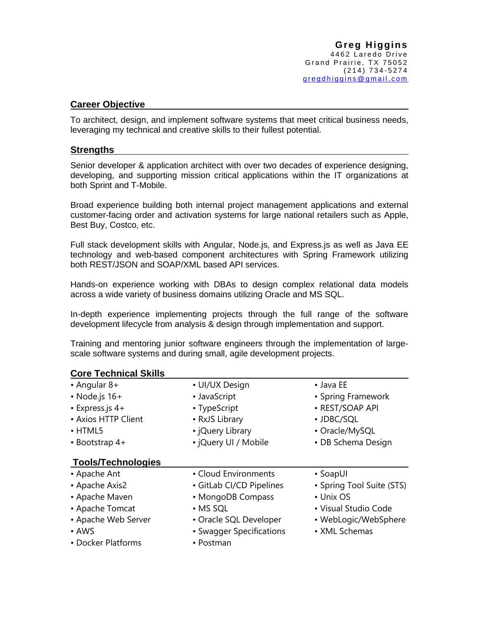## **Career Objective**

**Core Technical Skills**

To architect, design, and implement software systems that meet critical business needs, leveraging my technical and creative skills to their fullest potential.

## **Strengths**

Senior developer & application architect with over two decades of experience designing, developing, and supporting mission critical applications within the IT organizations at both Sprint and T-Mobile.

Broad experience building both internal project management applications and external customer-facing order and activation systems for large national retailers such as Apple, Best Buy, Costco, etc.

Full stack development skills with Angular, Node.js, and Express.js as well as Java EE technology and web-based component architectures with Spring Framework utilizing both REST/JSON and SOAP/XML based API services.

Hands-on experience working with DBAs to design complex relational data models across a wide variety of business domains utilizing Oracle and MS SQL.

In-depth experience implementing projects through the full range of the software development lifecycle from analysis & design through implementation and support.

Training and mentoring junior software engineers through the implementation of largescale software systems and during small, agile development projects.

| Core Technical Skills     |                          |                           |
|---------------------------|--------------------------|---------------------------|
| $\cdot$ Angular 8+        | • UI/UX Design           | $\bullet$ Java EE         |
| $\cdot$ Node.js 16+       | • JavaScript             | • Spring Framework        |
| $\cdot$ Express.js 4+     | • TypeScript             | • REST/SOAP API           |
| • Axios HTTP Client       | • RxJS Library           | • JDBC/SQL                |
| $\cdot$ HTML5             | • ¡Query Library         | • Oracle/MySQL            |
| $\cdot$ Bootstrap 4+      | • jQuery UI / Mobile     | • DB Schema Design        |
| <b>Tools/Technologies</b> |                          |                           |
| • Apache Ant              | • Cloud Environments     | • SoapUI                  |
| • Apache Axis2            | • GitLab CI/CD Pipelines | • Spring Tool Suite (STS) |
| • Apache Maven            | • MongoDB Compass        | • Unix OS                 |
| • Apache Tomcat           | • MS SQL                 | • Visual Studio Code      |
| • Apache Web Server       | • Oracle SQL Developer   | • WebLogic/WebSphere      |
| $\cdot$ AWS               | • Swagger Specifications | • XML Schemas             |
| • Docker Platforms        | • Postman                |                           |
|                           |                          |                           |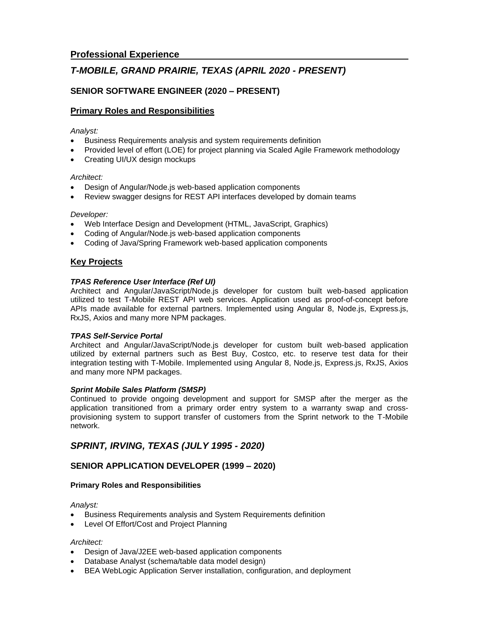# *T-MOBILE, GRAND PRAIRIE, TEXAS (APRIL 2020 - PRESENT)*

## **SENIOR SOFTWARE ENGINEER (2020 – PRESENT)**

## **Primary Roles and Responsibilities**

## *Analyst:*

- Business Requirements analysis and system requirements definition
- Provided level of effort (LOE) for project planning via Scaled Agile Framework methodology
- Creating UI/UX design mockups

## *Architect:*

- Design of Angular/Node.js web-based application components
- Review swagger designs for REST API interfaces developed by domain teams

## *Developer:*

- Web Interface Design and Development (HTML, JavaScript, Graphics)
- Coding of Angular/Node.js web-based application components
- Coding of Java/Spring Framework web-based application components

## **Key Projects**

## *TPAS Reference User Interface (Ref UI)*

Architect and Angular/JavaScript/Node.js developer for custom built web-based application utilized to test T-Mobile REST API web services. Application used as proof-of-concept before APIs made available for external partners. Implemented using Angular 8, Node.js, Express.js, RxJS, Axios and many more NPM packages.

## *TPAS Self-Service Portal*

Architect and Angular/JavaScript/Node.js developer for custom built web-based application utilized by external partners such as Best Buy, Costco, etc. to reserve test data for their integration testing with T-Mobile. Implemented using Angular 8, Node.js, Express.js, RxJS, Axios and many more NPM packages.

## *Sprint Mobile Sales Platform (SMSP)*

Continued to provide ongoing development and support for SMSP after the merger as the application transitioned from a primary order entry system to a warranty swap and crossprovisioning system to support transfer of customers from the Sprint network to the T-Mobile network.

## *SPRINT, IRVING, TEXAS (JULY 1995 - 2020)*

## **SENIOR APPLICATION DEVELOPER (1999 – 2020)**

## **Primary Roles and Responsibilities**

*Analyst:*

- Business Requirements analysis and System Requirements definition
- Level Of Effort/Cost and Project Planning

## *Architect:*

- Design of Java/J2EE web-based application components
- Database Analyst (schema/table data model design)
- BEA WebLogic Application Server installation, configuration, and deployment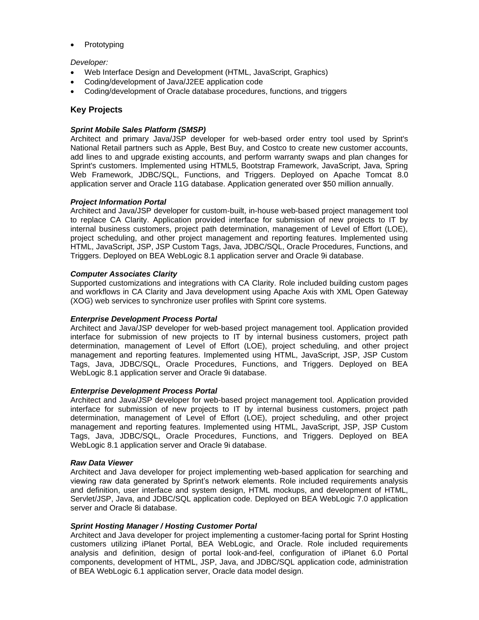**Prototyping** 

#### *Developer:*

- Web Interface Design and Development (HTML, JavaScript, Graphics)
- Coding/development of Java/J2EE application code
- Coding/development of Oracle database procedures, functions, and triggers

## **Key Projects**

#### *Sprint Mobile Sales Platform (SMSP)*

Architect and primary Java/JSP developer for web-based order entry tool used by Sprint's National Retail partners such as Apple, Best Buy, and Costco to create new customer accounts, add lines to and upgrade existing accounts, and perform warranty swaps and plan changes for Sprint's customers. Implemented using HTML5, Bootstrap Framework, JavaScript, Java, Spring Web Framework, JDBC/SQL, Functions, and Triggers. Deployed on Apache Tomcat 8.0 application server and Oracle 11G database. Application generated over \$50 million annually.

#### *Project Information Portal*

Architect and Java/JSP developer for custom-built, in-house web-based project management tool to replace CA Clarity. Application provided interface for submission of new projects to IT by internal business customers, project path determination, management of Level of Effort (LOE), project scheduling, and other project management and reporting features. Implemented using HTML, JavaScript, JSP, JSP Custom Tags, Java, JDBC/SQL, Oracle Procedures, Functions, and Triggers. Deployed on BEA WebLogic 8.1 application server and Oracle 9i database.

#### *Computer Associates Clarity*

Supported customizations and integrations with CA Clarity. Role included building custom pages and workflows in CA Clarity and Java development using Apache Axis with XML Open Gateway (XOG) web services to synchronize user profiles with Sprint core systems.

## *Enterprise Development Process Portal*

Architect and Java/JSP developer for web-based project management tool. Application provided interface for submission of new projects to IT by internal business customers, project path determination, management of Level of Effort (LOE), project scheduling, and other project management and reporting features. Implemented using HTML, JavaScript, JSP, JSP Custom Tags, Java, JDBC/SQL, Oracle Procedures, Functions, and Triggers. Deployed on BEA WebLogic 8.1 application server and Oracle 9i database.

#### *Enterprise Development Process Portal*

Architect and Java/JSP developer for web-based project management tool. Application provided interface for submission of new projects to IT by internal business customers, project path determination, management of Level of Effort (LOE), project scheduling, and other project management and reporting features. Implemented using HTML, JavaScript, JSP, JSP Custom Tags, Java, JDBC/SQL, Oracle Procedures, Functions, and Triggers. Deployed on BEA WebLogic 8.1 application server and Oracle 9i database.

#### *Raw Data Viewer*

Architect and Java developer for project implementing web-based application for searching and viewing raw data generated by Sprint's network elements. Role included requirements analysis and definition, user interface and system design, HTML mockups, and development of HTML, Servlet/JSP, Java, and JDBC/SQL application code. Deployed on BEA WebLogic 7.0 application server and Oracle 8i database.

#### *Sprint Hosting Manager / Hosting Customer Portal*

Architect and Java developer for project implementing a customer-facing portal for Sprint Hosting customers utilizing iPlanet Portal, BEA WebLogic, and Oracle. Role included requirements analysis and definition, design of portal look-and-feel, configuration of iPlanet 6.0 Portal components, development of HTML, JSP, Java, and JDBC/SQL application code, administration of BEA WebLogic 6.1 application server, Oracle data model design.